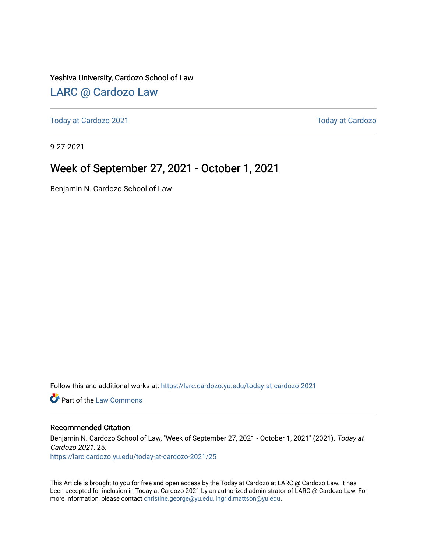#### Yeshiva University, Cardozo School of Law

### [LARC @ Cardozo Law](https://larc.cardozo.yu.edu/)

[Today at Cardozo 2021](https://larc.cardozo.yu.edu/today-at-cardozo-2021) **Today at Cardozo** 2021

9-27-2021

### Week of September 27, 2021 - October 1, 2021

Benjamin N. Cardozo School of Law

Follow this and additional works at: [https://larc.cardozo.yu.edu/today-at-cardozo-2021](https://larc.cardozo.yu.edu/today-at-cardozo-2021?utm_source=larc.cardozo.yu.edu%2Ftoday-at-cardozo-2021%2F25&utm_medium=PDF&utm_campaign=PDFCoverPages)

**C** Part of the [Law Commons](http://network.bepress.com/hgg/discipline/578?utm_source=larc.cardozo.yu.edu%2Ftoday-at-cardozo-2021%2F25&utm_medium=PDF&utm_campaign=PDFCoverPages)

#### Recommended Citation

Benjamin N. Cardozo School of Law, "Week of September 27, 2021 - October 1, 2021" (2021). Today at Cardozo 2021. 25. [https://larc.cardozo.yu.edu/today-at-cardozo-2021/25](https://larc.cardozo.yu.edu/today-at-cardozo-2021/25?utm_source=larc.cardozo.yu.edu%2Ftoday-at-cardozo-2021%2F25&utm_medium=PDF&utm_campaign=PDFCoverPages) 

This Article is brought to you for free and open access by the Today at Cardozo at LARC @ Cardozo Law. It has been accepted for inclusion in Today at Cardozo 2021 by an authorized administrator of LARC @ Cardozo Law. For more information, please contact [christine.george@yu.edu, ingrid.mattson@yu.edu](mailto:christine.george@yu.edu,%20ingrid.mattson@yu.edu).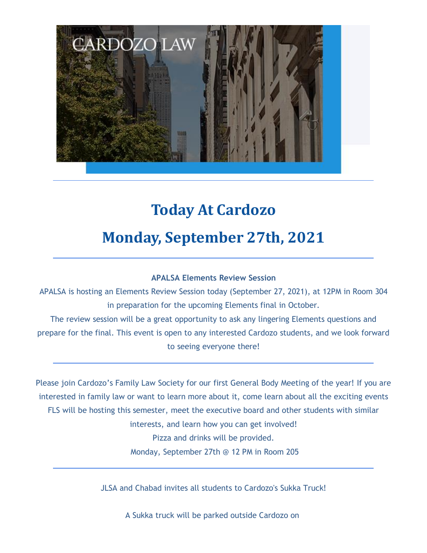

# **Today At Cardozo Monday, September 27th, 2021**

#### **APALSA Elements Review Session**

APALSA is hosting an Elements Review Session today (September 27, 2021), at 12PM in Room 304 in preparation for the upcoming Elements final in October.

The review session will be a great opportunity to ask any lingering Elements questions and prepare for the final. This event is open to any interested Cardozo students, and we look forward to seeing everyone there!

Please join Cardozo's Family Law Society for our first General Body Meeting of the year! If you are interested in family law or want to learn more about it, come learn about all the exciting events FLS will be hosting this semester, meet the executive board and other students with similar interests, and learn how you can get involved! Pizza and drinks will be provided. Monday, September 27th @ 12 PM in Room 205

JLSA and Chabad invites all students to Cardozo's Sukka Truck!

A Sukka truck will be parked outside Cardozo on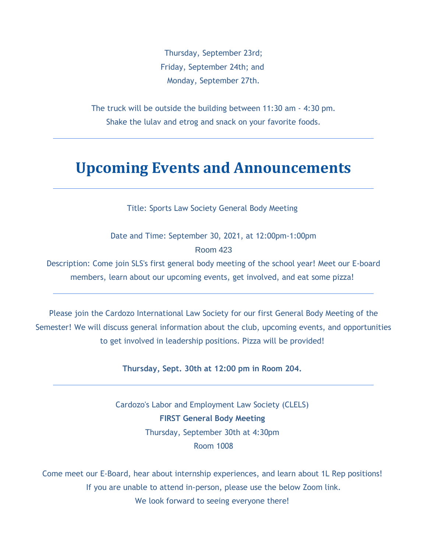Thursday, September 23rd; Friday, September 24th; and Monday, September 27th.

The truck will be outside the building between 11:30 am - 4:30 pm. Shake the lulav and etrog and snack on your favorite foods.

## **Upcoming Events and Announcements**

Title: Sports Law Society General Body Meeting

Date and Time: September 30, 2021, at 12:00pm-1:00pm Room 423

Description: Come join SLS's first general body meeting of the school year! Meet our E-board members, learn about our upcoming events, get involved, and eat some pizza!

Please join the Cardozo International Law Society for our first General Body Meeting of the Semester! We will discuss general information about the club, upcoming events, and opportunities to get involved in leadership positions. Pizza will be provided!

**Thursday, Sept. 30th at 12:00 pm in Room 204.**

Cardozo's Labor and Employment Law Society (CLELS) **FIRST General Body Meeting** Thursday, September 30th at 4:30pm Room 1008

Come meet our E-Board, hear about internship experiences, and learn about 1L Rep positions! If you are unable to attend in-person, please use the below Zoom link. We look forward to seeing everyone there!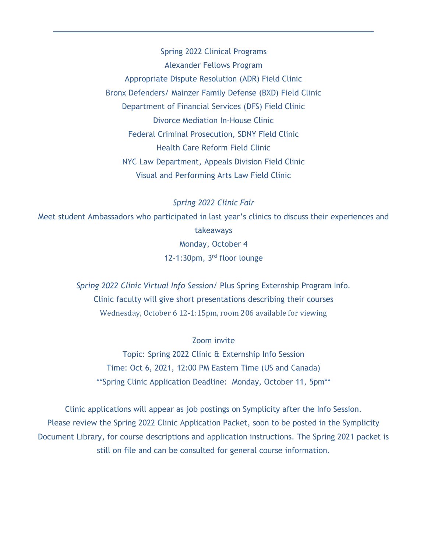Spring 2022 Clinical Programs Alexander Fellows Program Appropriate Dispute Resolution (ADR) Field Clinic Bronx Defenders/ Mainzer Family Defense (BXD) Field Clinic Department of Financial Services (DFS) Field Clinic Divorce Mediation In-House Clinic Federal Criminal Prosecution, SDNY Field Clinic Health Care Reform Field Clinic NYC Law Department, Appeals Division Field Clinic Visual and Performing Arts Law Field Clinic

*Spring 2022 Clinic Fair* Meet student Ambassadors who participated in last year's clinics to discuss their experiences and takeaways Monday, October 4 12-1:30pm, 3 rd floor lounge

> *Spring 2022 Clinic Virtual Info Session/* Plus Spring Externship Program Info. Clinic faculty will give short presentations describing their courses Wednesday, October 6 12-1:15pm, room 206 available for viewing

#### Zoom invite

Topic: Spring 2022 Clinic & Externship Info Session Time: Oct 6, 2021, 12:00 PM Eastern Time (US and Canada) \*\*Spring Clinic Application Deadline: Monday, October 11, 5pm\*\*

Clinic applications will appear as job postings on Symplicity after the Info Session. Please review the Spring 2022 Clinic Application Packet, soon to be posted in the Symplicity Document Library, for course descriptions and application instructions. The Spring 2021 packet is still on file and can be consulted for general course information.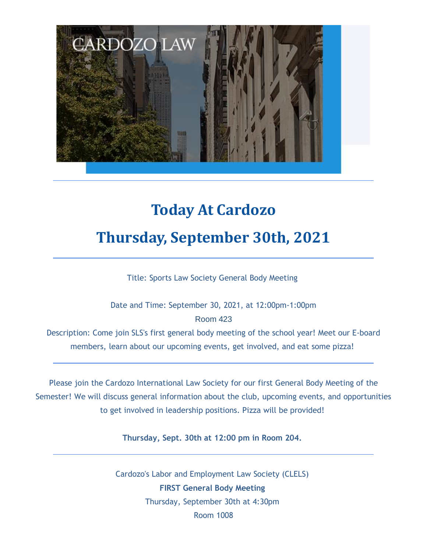

# **Today At Cardozo Thursday, September 30th, 2021**

Title: Sports Law Society General Body Meeting

Date and Time: September 30, 2021, at 12:00pm-1:00pm Room 423

Description: Come join SLS's first general body meeting of the school year! Meet our E-board members, learn about our upcoming events, get involved, and eat some pizza!

Please join the Cardozo International Law Society for our first General Body Meeting of the Semester! We will discuss general information about the club, upcoming events, and opportunities to get involved in leadership positions. Pizza will be provided!

**Thursday, Sept. 30th at 12:00 pm in Room 204.**

Cardozo's Labor and Employment Law Society (CLELS) **FIRST General Body Meeting** Thursday, September 30th at 4:30pm Room 1008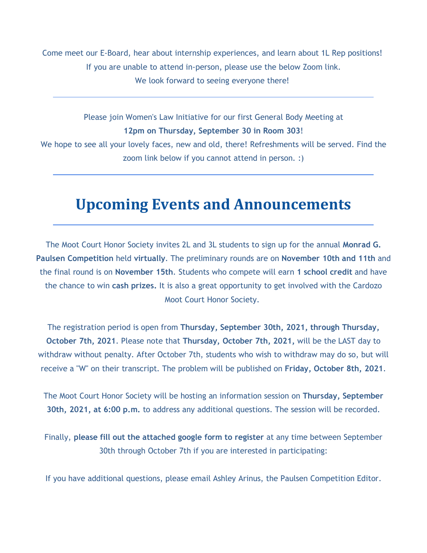Come meet our E-Board, hear about internship experiences, and learn about 1L Rep positions! If you are unable to attend in-person, please use the below Zoom link. We look forward to seeing everyone there!

Please join Women's Law Initiative for our first General Body Meeting at **12pm on Thursday, September 30 in Room 303**! We hope to see all your lovely faces, new and old, there! Refreshments will be served. Find the

## **Upcoming Events and Announcements**

zoom link below if you cannot attend in person. :)

The Moot Court Honor Society invites 2L and 3L students to sign up for the annual **Monrad G. Paulsen Competition** held **virtually**. The preliminary rounds are on **November 10th and 11th** and the final round is on **November 15th**. Students who compete will earn **1 school credit** and have the chance to win **cash prizes.** It is also a great opportunity to get involved with the Cardozo Moot Court Honor Society.

The registration period is open from **Thursday, September 30th, 2021, through Thursday, October 7th, 2021**. Please note that **Thursday, October 7th, 2021,** will be the LAST day to withdraw without penalty. After October 7th, students who wish to withdraw may do so, but will receive a "W" on their transcript. The problem will be published on **Friday, October 8th, 2021**.

The Moot Court Honor Society will be hosting an information session on **Thursday, September 30th, 2021, at 6:00 p.m.** to address any additional questions. The session will be recorded.

Finally, **please fill out the attached google form to register** at any time between September 30th through October 7th if you are interested in participating:

If you have additional questions, please email Ashley Arinus, the Paulsen Competition Editor.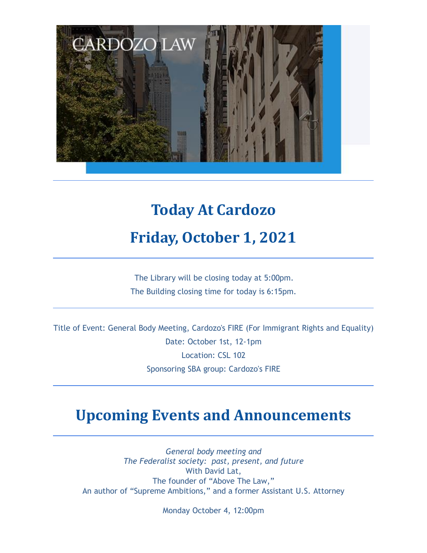

## **Today At Cardozo Friday, October 1, 2021**

The Library will be closing today at 5:00pm. The Building closing time for today is 6:15pm.

Title of Event: General Body Meeting, Cardozo's FIRE (For Immigrant Rights and Equality) Date: October 1st, 12-1pm Location: CSL 102 Sponsoring SBA group: Cardozo's FIRE

## **Upcoming Events and Announcements**

*General body meeting and The Federalist society: past, present, and future* With David Lat, The founder of "Above The Law," An author of "Supreme Ambitions," and a former Assistant U.S. Attorney

Monday October 4, 12:00pm